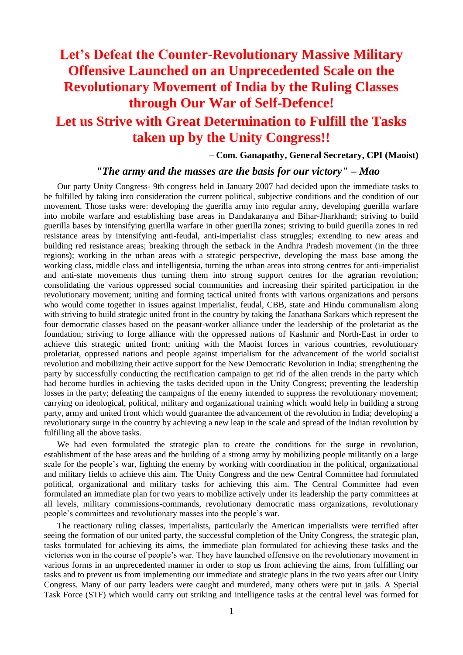## **Let's Defeat the Counter-Revolutionary Massive Military Offensive Launched on an Unprecedented Scale on the Revolutionary Movement of India by the Ruling Classes through Our War of Self-Defence!**

## **Let us Strive with Great Determination to Fulfill the Tasks taken up by the Unity Congress!!**

– **Com. Ganapathy, General Secretary, CPI (Maoist)**

## *"The army and the masses are the basis for our victory" – Mao*

Our party Unity Congress- 9th congress held in January 2007 had decided upon the immediate tasks to be fulfilled by taking into consideration the current political, subjective conditions and the condition of our movement. Those tasks were: developing the guerilla army into regular army, developing guerilla warfare into mobile warfare and establishing base areas in Dandakaranya and Bihar-Jharkhand; striving to build guerilla bases by intensifying guerilla warfare in other guerilla zones; striving to build guerilla zones in red resistance areas by intensifying anti-feudal, anti-imperialist class struggles; extending to new areas and building red resistance areas; breaking through the setback in the Andhra Pradesh movement (in the three regions); working in the urban areas with a strategic perspective, developing the mass base among the working class, middle class and intelligentsia, turning the urban areas into strong centres for anti-imperialist and anti-state movements thus turning them into strong support centres for the agrarian revolution; consolidating the various oppressed social communities and increasing their spirited participation in the revolutionary movement; uniting and forming tactical united fronts with various organizations and persons who would come together in issues against imperialist, feudal, CBB, state and Hindu communalism along with striving to build strategic united front in the country by taking the Janathana Sarkars which represent the four democratic classes based on the peasant-worker alliance under the leadership of the proletariat as the foundation; striving to forge alliance with the oppressed nations of Kashmir and North-East in order to achieve this strategic united front; uniting with the Maoist forces in various countries, revolutionary proletariat, oppressed nations and people against imperialism for the advancement of the world socialist revolution and mobilizing their active support for the New Democratic Revolution in India; strengthening the party by successfully conducting the rectification campaign to get rid of the alien trends in the party which had become hurdles in achieving the tasks decided upon in the Unity Congress; preventing the leadership losses in the party; defeating the campaigns of the enemy intended to suppress the revolutionary movement; carrying on ideological, political, military and organizational training which would help in building a strong party, army and united front which would guarantee the advancement of the revolution in India; developing a revolutionary surge in the country by achieving a new leap in the scale and spread of the Indian revolution by fulfilling all the above tasks.

We had even formulated the strategic plan to create the conditions for the surge in revolution, establishment of the base areas and the building of a strong army by mobilizing people militantly on a large scale for the people's war, fighting the enemy by working with coordination in the political, organizational and military fields to achieve this aim. The Unity Congress and the new Central Committee had formulated political, organizational and military tasks for achieving this aim. The Central Committee had even formulated an immediate plan for two years to mobilize actively under its leadership the party committees at all levels, military commissions-commands, revolutionary democratic mass organizations, revolutionary people"s committees and revolutionary masses into the people"s war.

The reactionary ruling classes, imperialists, particularly the American imperialists were terrified after seeing the formation of our united party, the successful completion of the Unity Congress, the strategic plan, tasks formulated for achieving its aims, the immediate plan formulated for achieving these tasks and the victories won in the course of people"s war. They have launched offensive on the revolutionary movement in various forms in an unprecedented manner in order to stop us from achieving the aims, from fulfilling our tasks and to prevent us from implementing our immediate and strategic plans in the two years after our Unity Congress. Many of our party leaders were caught and murdered, many others were put in jails. A Special Task Force (STF) which would carry out striking and intelligence tasks at the central level was formed for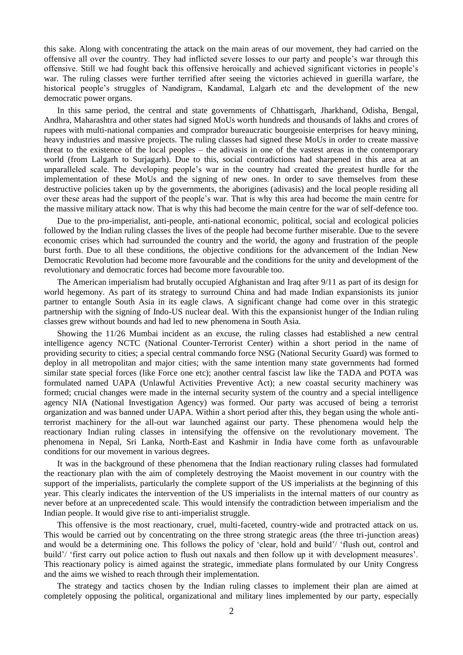this sake. Along with concentrating the attack on the main areas of our movement, they had carried on the offensive all over the country. They had inflicted severe losses to our party and people"s war through this offensive. Still we had fought back this offensive heroically and achieved significant victories in people"s war. The ruling classes were further terrified after seeing the victories achieved in guerilla warfare, the historical people"s struggles of Nandigram, Kandamal, Lalgarh etc and the development of the new democratic power organs.

In this same period, the central and state governments of Chhattisgarh, Jharkhand, Odisha, Bengal, Andhra, Maharashtra and other states had signed MoUs worth hundreds and thousands of lakhs and crores of rupees with multi-national companies and comprador bureaucratic bourgeoisie enterprises for heavy mining, heavy industries and massive projects. The ruling classes had signed these MoUs in order to create massive threat to the existence of the local peoples – the adivasis in one of the vastest areas in the contemporary world (from Lalgarh to Surjagarh). Due to this, social contradictions had sharpened in this area at an unparalleled scale. The developing people"s war in the country had created the greatest hurdle for the implementation of these MoUs and the signing of new ones. In order to save themselves from these destructive policies taken up by the governments, the aborigines (adivasis) and the local people residing all over these areas had the support of the people"s war. That is why this area had become the main centre for the massive military attack now. That is why this had become the main centre for the war of self-defence too.

Due to the pro-imperialist, anti-people, anti-national economic, political, social and ecological policies followed by the Indian ruling classes the lives of the people had become further miserable. Due to the severe economic crises which had surrounded the country and the world, the agony and frustration of the people burst forth. Due to all these conditions, the objective conditions for the advancement of the Indian New Democratic Revolution had become more favourable and the conditions for the unity and development of the revolutionary and democratic forces had become more favourable too.

The American imperialism had brutally occupied Afghanistan and Iraq after 9/11 as part of its design for world hegemony. As part of its strategy to surround China and had made Indian expansionists its junior partner to entangle South Asia in its eagle claws. A significant change had come over in this strategic partnership with the signing of Indo-US nuclear deal. With this the expansionist hunger of the Indian ruling classes grew without bounds and had led to new phenomena in South Asia.

Showing the 11/26 Mumbai incident as an excuse, the ruling classes had established a new central intelligence agency NCTC (National Counter-Terrorist Center) within a short period in the name of providing security to cities; a special central commando force NSG (National Security Guard) was formed to deploy in all metropolitan and major cities; with the same intention many state governments had formed similar state special forces (like Force one etc); another central fascist law like the TADA and POTA was formulated named UAPA (Unlawful Activities Preventive Act); a new coastal security machinery was formed; crucial changes were made in the internal security system of the country and a special intelligence agency NIA (National Investigation Agency) was formed. Our party was accused of being a terrorist organization and was banned under UAPA. Within a short period after this, they began using the whole antiterrorist machinery for the all-out war launched against our party. These phenomena would help the reactionary Indian ruling classes in intensifying the offensive on the revolutionary movement. The phenomena in Nepal, Sri Lanka, North-East and Kashmir in India have come forth as unfavourable conditions for our movement in various degrees.

It was in the background of these phenomena that the Indian reactionary ruling classes had formulated the reactionary plan with the aim of completely destroying the Maoist movement in our country with the support of the imperialists, particularly the complete support of the US imperialists at the beginning of this year. This clearly indicates the intervention of the US imperialists in the internal matters of our country as never before at an unprecedented scale. This would intensify the contradiction between imperialism and the Indian people. It would give rise to anti-imperialist struggle.

This offensive is the most reactionary, cruel, multi-faceted, country-wide and protracted attack on us. This would be carried out by concentrating on the three strong strategic areas (the three tri-junction areas) and would be a determining one. This follows the policy of "clear, hold and build"/ "flush out, control and build'/ 'first carry out police action to flush out naxals and then follow up it with development measures'. This reactionary policy is aimed against the strategic, immediate plans formulated by our Unity Congress and the aims we wished to reach through their implementation.

The strategy and tactics chosen by the Indian ruling classes to implement their plan are aimed at completely opposing the political, organizational and military lines implemented by our party, especially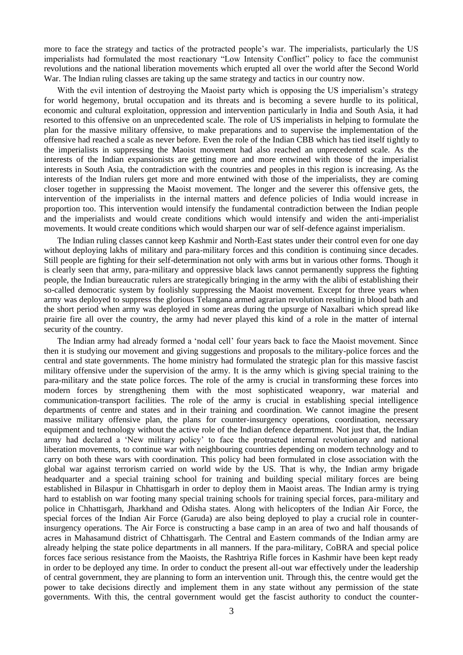more to face the strategy and tactics of the protracted people"s war. The imperialists, particularly the US imperialists had formulated the most reactionary "Low Intensity Conflict" policy to face the communist revolutions and the national liberation movements which erupted all over the world after the Second World War. The Indian ruling classes are taking up the same strategy and tactics in our country now.

With the evil intention of destroying the Maoist party which is opposing the US imperialism's strategy for world hegemony, brutal occupation and its threats and is becoming a severe hurdle to its political, economic and cultural exploitation, oppression and intervention particularly in India and South Asia, it had resorted to this offensive on an unprecedented scale. The role of US imperialists in helping to formulate the plan for the massive military offensive, to make preparations and to supervise the implementation of the offensive had reached a scale as never before. Even the role of the Indian CBB which has tied itself tightly to the imperialists in suppressing the Maoist movement had also reached an unprecedented scale. As the interests of the Indian expansionists are getting more and more entwined with those of the imperialist interests in South Asia, the contradiction with the countries and peoples in this region is increasing. As the interests of the Indian rulers get more and more entwined with those of the imperialists, they are coming closer together in suppressing the Maoist movement. The longer and the severer this offensive gets, the intervention of the imperialists in the internal matters and defence policies of India would increase in proportion too. This intervention would intensify the fundamental contradiction between the Indian people and the imperialists and would create conditions which would intensify and widen the anti-imperialist movements. It would create conditions which would sharpen our war of self-defence against imperialism.

The Indian ruling classes cannot keep Kashmir and North-East states under their control even for one day without deploying lakhs of military and para-military forces and this condition is continuing since decades. Still people are fighting for their self-determination not only with arms but in various other forms. Though it is clearly seen that army, para-military and oppressive black laws cannot permanently suppress the fighting people, the Indian bureaucratic rulers are strategically bringing in the army with the alibi of establishing their so-called democratic system by foolishly suppressing the Maoist movement. Except for three years when army was deployed to suppress the glorious Telangana armed agrarian revolution resulting in blood bath and the short period when army was deployed in some areas during the upsurge of Naxalbari which spread like prairie fire all over the country, the army had never played this kind of a role in the matter of internal security of the country.

The Indian army had already formed a "nodal cell" four years back to face the Maoist movement. Since then it is studying our movement and giving suggestions and proposals to the military-police forces and the central and state governments. The home ministry had formulated the strategic plan for this massive fascist military offensive under the supervision of the army. It is the army which is giving special training to the para-military and the state police forces. The role of the army is crucial in transforming these forces into modern forces by strengthening them with the most sophisticated weaponry, war material and communication-transport facilities. The role of the army is crucial in establishing special intelligence departments of centre and states and in their training and coordination. We cannot imagine the present massive military offensive plan, the plans for counter-insurgency operations, coordination, necessary equipment and technology without the active role of the Indian defence department. Not just that, the Indian army had declared a "New military policy" to face the protracted internal revolutionary and national liberation movements, to continue war with neighbouring countries depending on modern technology and to carry on both these wars with coordination. This policy had been formulated in close association with the global war against terrorism carried on world wide by the US. That is why, the Indian army brigade headquarter and a special training school for training and building special military forces are being established in Bilaspur in Chhattisgarh in order to deploy them in Maoist areas. The Indian army is trying hard to establish on war footing many special training schools for training special forces, para-military and police in Chhattisgarh, Jharkhand and Odisha states. Along with helicopters of the Indian Air Force, the special forces of the Indian Air Force (Garuda) are also being deployed to play a crucial role in counterinsurgency operations. The Air Force is constructing a base camp in an area of two and half thousands of acres in Mahasamund district of Chhattisgarh. The Central and Eastern commands of the Indian army are already helping the state police departments in all manners. If the para-military, CoBRA and special police forces face serious resistance from the Maoists, the Rashtriya Rifle forces in Kashmir have been kept ready in order to be deployed any time. In order to conduct the present all-out war effectively under the leadership of central government, they are planning to form an intervention unit. Through this, the centre would get the power to take decisions directly and implement them in any state without any permission of the state governments. With this, the central government would get the fascist authority to conduct the counter-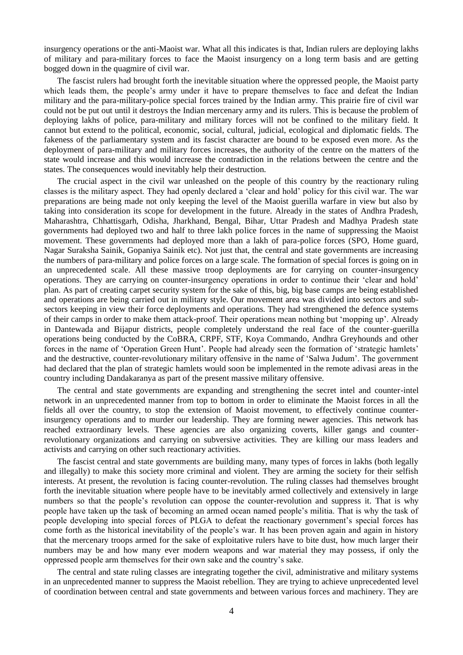insurgency operations or the anti-Maoist war. What all this indicates is that, Indian rulers are deploying lakhs of military and para-military forces to face the Maoist insurgency on a long term basis and are getting bogged down in the quagmire of civil war.

The fascist rulers had brought forth the inevitable situation where the oppressed people, the Maoist party which leads them, the people's army under it have to prepare themselves to face and defeat the Indian military and the para-military-police special forces trained by the Indian army. This prairie fire of civil war could not be put out until it destroys the Indian mercenary army and its rulers. This is because the problem of deploying lakhs of police, para-military and military forces will not be confined to the military field. It cannot but extend to the political, economic, social, cultural, judicial, ecological and diplomatic fields. The fakeness of the parliamentary system and its fascist character are bound to be exposed even more. As the deployment of para-military and military forces increases, the authority of the centre on the matters of the state would increase and this would increase the contradiction in the relations between the centre and the states. The consequences would inevitably help their destruction.

The crucial aspect in the civil war unleashed on the people of this country by the reactionary ruling classes is the military aspect. They had openly declared a "clear and hold" policy for this civil war. The war preparations are being made not only keeping the level of the Maoist guerilla warfare in view but also by taking into consideration its scope for development in the future. Already in the states of Andhra Pradesh, Maharashtra, Chhattisgarh, Odisha, Jharkhand, Bengal, Bihar, Uttar Pradesh and Madhya Pradesh state governments had deployed two and half to three lakh police forces in the name of suppressing the Maoist movement. These governments had deployed more than a lakh of para-police forces (SPO, Home guard, Nagar Suraksha Sainik, Gopaniya Sainik etc). Not just that, the central and state governments are increasing the numbers of para-military and police forces on a large scale. The formation of special forces is going on in an unprecedented scale. All these massive troop deployments are for carrying on counter-insurgency operations. They are carrying on counter-insurgency operations in order to continue their "clear and hold" plan. As part of creating carpet security system for the sake of this, big, big base camps are being established and operations are being carried out in military style. Our movement area was divided into sectors and subsectors keeping in view their force deployments and operations. They had strengthened the defence systems of their camps in order to make them attack-proof. Their operations mean nothing but "mopping up". Already in Dantewada and Bijapur districts, people completely understand the real face of the counter-guerilla operations being conducted by the CoBRA, CRPF, STF, Koya Commando, Andhra Greyhounds and other forces in the name of 'Operation Green Hunt'. People had already seen the formation of 'strategic hamlets' and the destructive, counter-revolutionary military offensive in the name of "Salwa Judum". The government had declared that the plan of strategic hamlets would soon be implemented in the remote adivasi areas in the country including Dandakaranya as part of the present massive military offensive.

The central and state governments are expanding and strengthening the secret intel and counter-intel network in an unprecedented manner from top to bottom in order to eliminate the Maoist forces in all the fields all over the country, to stop the extension of Maoist movement, to effectively continue counterinsurgency operations and to murder our leadership. They are forming newer agencies. This network has reached extraordinary levels. These agencies are also organizing coverts, killer gangs and counterrevolutionary organizations and carrying on subversive activities. They are killing our mass leaders and activists and carrying on other such reactionary activities.

The fascist central and state governments are building many, many types of forces in lakhs (both legally and illegally) to make this society more criminal and violent. They are arming the society for their selfish interests. At present, the revolution is facing counter-revolution. The ruling classes had themselves brought forth the inevitable situation where people have to be inevitably armed collectively and extensively in large numbers so that the people"s revolution can oppose the counter-revolution and suppress it. That is why people have taken up the task of becoming an armed ocean named people"s militia. That is why the task of people developing into special forces of PLGA to defeat the reactionary government"s special forces has come forth as the historical inevitability of the people"s war. It has been proven again and again in history that the mercenary troops armed for the sake of exploitative rulers have to bite dust, how much larger their numbers may be and how many ever modern weapons and war material they may possess, if only the oppressed people arm themselves for their own sake and the country"s sake.

The central and state ruling classes are integrating together the civil, administrative and military systems in an unprecedented manner to suppress the Maoist rebellion. They are trying to achieve unprecedented level of coordination between central and state governments and between various forces and machinery. They are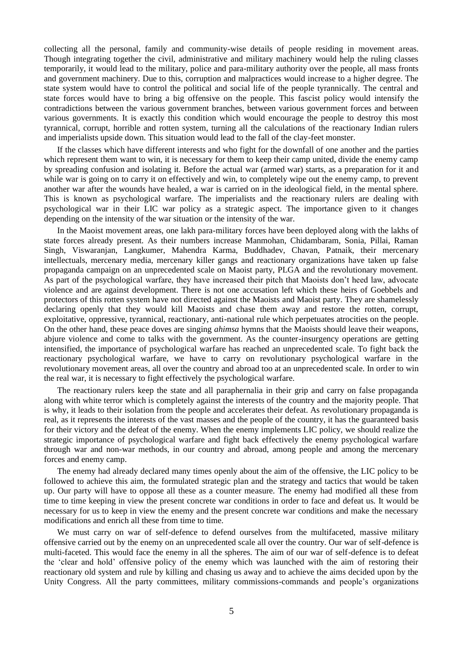collecting all the personal, family and community-wise details of people residing in movement areas. Though integrating together the civil, administrative and military machinery would help the ruling classes temporarily, it would lead to the military, police and para-military authority over the people, all mass fronts and government machinery. Due to this, corruption and malpractices would increase to a higher degree. The state system would have to control the political and social life of the people tyrannically. The central and state forces would have to bring a big offensive on the people. This fascist policy would intensify the contradictions between the various government branches, between various government forces and between various governments. It is exactly this condition which would encourage the people to destroy this most tyrannical, corrupt, horrible and rotten system, turning all the calculations of the reactionary Indian rulers and imperialists upside down. This situation would lead to the fall of the clay-feet monster.

If the classes which have different interests and who fight for the downfall of one another and the parties which represent them want to win, it is necessary for them to keep their camp united, divide the enemy camp by spreading confusion and isolating it. Before the actual war (armed war) starts, as a preparation for it and while war is going on to carry it on effectively and win, to completely wipe out the enemy camp, to prevent another war after the wounds have healed, a war is carried on in the ideological field, in the mental sphere. This is known as psychological warfare. The imperialists and the reactionary rulers are dealing with psychological war in their LIC war policy as a strategic aspect. The importance given to it changes depending on the intensity of the war situation or the intensity of the war.

In the Maoist movement areas, one lakh para-military forces have been deployed along with the lakhs of state forces already present. As their numbers increase Manmohan, Chidambaram, Sonia, Pillai, Raman Singh, Viswaranjan, Langkumer, Mahendra Karma, Buddhadev, Chavan, Patnaik, their mercenary intellectuals, mercenary media, mercenary killer gangs and reactionary organizations have taken up false propaganda campaign on an unprecedented scale on Maoist party, PLGA and the revolutionary movement. As part of the psychological warfare, they have increased their pitch that Maoists don"t heed law, advocate violence and are against development. There is not one accusation left which these heirs of Goebbels and protectors of this rotten system have not directed against the Maoists and Maoist party. They are shamelessly declaring openly that they would kill Maoists and chase them away and restore the rotten, corrupt, exploitative, oppressive, tyrannical, reactionary, anti-national rule which perpetuates atrocities on the people. On the other hand, these peace doves are singing *ahimsa* hymns that the Maoists should leave their weapons, abjure violence and come to talks with the government. As the counter-insurgency operations are getting intensified, the importance of psychological warfare has reached an unprecedented scale. To fight back the reactionary psychological warfare, we have to carry on revolutionary psychological warfare in the revolutionary movement areas, all over the country and abroad too at an unprecedented scale. In order to win the real war, it is necessary to fight effectively the psychological warfare.

The reactionary rulers keep the state and all paraphernalia in their grip and carry on false propaganda along with white terror which is completely against the interests of the country and the majority people. That is why, it leads to their isolation from the people and accelerates their defeat. As revolutionary propaganda is real, as it represents the interests of the vast masses and the people of the country, it has the guaranteed basis for their victory and the defeat of the enemy. When the enemy implements LIC policy, we should realize the strategic importance of psychological warfare and fight back effectively the enemy psychological warfare through war and non-war methods, in our country and abroad, among people and among the mercenary forces and enemy camp.

The enemy had already declared many times openly about the aim of the offensive, the LIC policy to be followed to achieve this aim, the formulated strategic plan and the strategy and tactics that would be taken up. Our party will have to oppose all these as a counter measure. The enemy had modified all these from time to time keeping in view the present concrete war conditions in order to face and defeat us. It would be necessary for us to keep in view the enemy and the present concrete war conditions and make the necessary modifications and enrich all these from time to time.

We must carry on war of self-defence to defend ourselves from the multifaceted, massive military offensive carried out by the enemy on an unprecedented scale all over the country. Our war of self-defence is multi-faceted. This would face the enemy in all the spheres. The aim of our war of self-defence is to defeat the "clear and hold" offensive policy of the enemy which was launched with the aim of restoring their reactionary old system and rule by killing and chasing us away and to achieve the aims decided upon by the Unity Congress. All the party committees, military commissions-commands and people"s organizations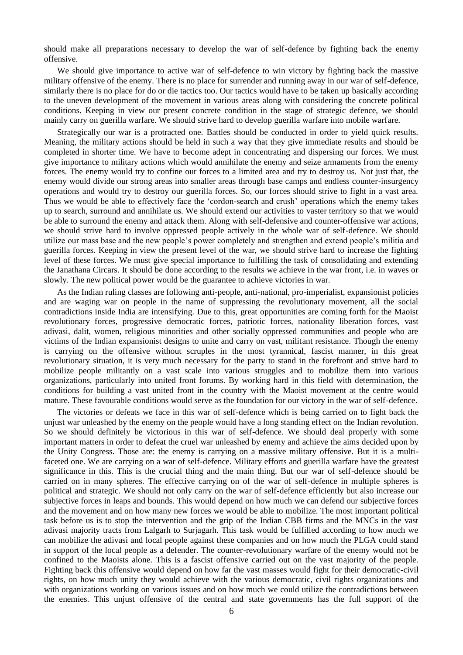should make all preparations necessary to develop the war of self-defence by fighting back the enemy offensive.

We should give importance to active war of self-defence to win victory by fighting back the massive military offensive of the enemy. There is no place for surrender and running away in our war of self-defence, similarly there is no place for do or die tactics too. Our tactics would have to be taken up basically according to the uneven development of the movement in various areas along with considering the concrete political conditions. Keeping in view our present concrete condition in the stage of strategic defence, we should mainly carry on guerilla warfare. We should strive hard to develop guerilla warfare into mobile warfare.

Strategically our war is a protracted one. Battles should be conducted in order to yield quick results. Meaning, the military actions should be held in such a way that they give immediate results and should be completed in shorter time. We have to become adept in concentrating and dispersing our forces. We must give importance to military actions which would annihilate the enemy and seize armaments from the enemy forces. The enemy would try to confine our forces to a limited area and try to destroy us. Not just that, the enemy would divide our strong areas into smaller areas through base camps and endless counter-insurgency operations and would try to destroy our guerilla forces. So, our forces should strive to fight in a vast area. Thus we would be able to effectively face the "cordon-search and crush" operations which the enemy takes up to search, surround and annihilate us. We should extend our activities to vaster territory so that we would be able to surround the enemy and attack them. Along with self-defensive and counter-offensive war actions, we should strive hard to involve oppressed people actively in the whole war of self-defence. We should utilize our mass base and the new people"s power completely and strengthen and extend people"s militia and guerilla forces. Keeping in view the present level of the war, we should strive hard to increase the fighting level of these forces. We must give special importance to fulfilling the task of consolidating and extending the Janathana Circars. It should be done according to the results we achieve in the war front, i.e. in waves or slowly. The new political power would be the guarantee to achieve victories in war.

As the Indian ruling classes are following anti-people, anti-national, pro-imperialist, expansionist policies and are waging war on people in the name of suppressing the revolutionary movement, all the social contradictions inside India are intensifying. Due to this, great opportunities are coming forth for the Maoist revolutionary forces, progressive democratic forces, patriotic forces, nationality liberation forces, vast adivasi, dalit, women, religious minorities and other socially oppressed communities and people who are victims of the Indian expansionist designs to unite and carry on vast, militant resistance. Though the enemy is carrying on the offensive without scruples in the most tyrannical, fascist manner, in this great revolutionary situation, it is very much necessary for the party to stand in the forefront and strive hard to mobilize people militantly on a vast scale into various struggles and to mobilize them into various organizations, particularly into united front forums. By working hard in this field with determination, the conditions for building a vast united front in the country with the Maoist movement at the centre would mature. These favourable conditions would serve as the foundation for our victory in the war of self-defence.

The victories or defeats we face in this war of self-defence which is being carried on to fight back the unjust war unleashed by the enemy on the people would have a long standing effect on the Indian revolution. So we should definitely be victorious in this war of self-defence. We should deal properly with some important matters in order to defeat the cruel war unleashed by enemy and achieve the aims decided upon by the Unity Congress. Those are: the enemy is carrying on a massive military offensive. But it is a multifaceted one. We are carrying on a war of self-defence. Military efforts and guerilla warfare have the greatest significance in this. This is the crucial thing and the main thing. But our war of self-defence should be carried on in many spheres. The effective carrying on of the war of self-defence in multiple spheres is political and strategic. We should not only carry on the war of self-defence efficiently but also increase our subjective forces in leaps and bounds. This would depend on how much we can defend our subjective forces and the movement and on how many new forces we would be able to mobilize. The most important political task before us is to stop the intervention and the grip of the Indian CBB firms and the MNCs in the vast adivasi majority tracts from Lalgarh to Surjagarh. This task would be fulfilled according to how much we can mobilize the adivasi and local people against these companies and on how much the PLGA could stand in support of the local people as a defender. The counter-revolutionary warfare of the enemy would not be confined to the Maoists alone. This is a fascist offensive carried out on the vast majority of the people. Fighting back this offensive would depend on how far the vast masses would fight for their democratic-civil rights, on how much unity they would achieve with the various democratic, civil rights organizations and with organizations working on various issues and on how much we could utilize the contradictions between the enemies. This unjust offensive of the central and state governments has the full support of the